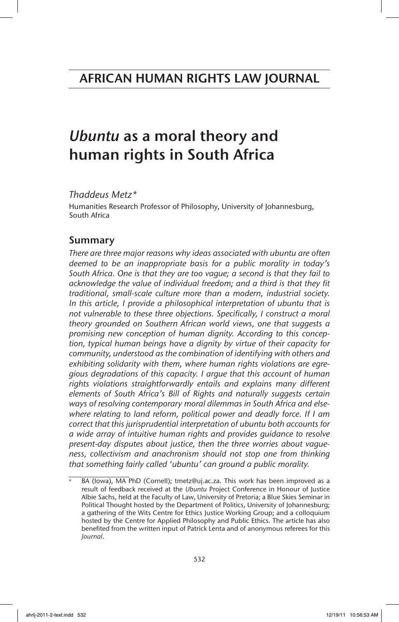# *Ubuntu* as a moral theory and human rights in South Africa

## *Thaddeus Metz\**

Humanities Research Professor of Philosophy, University of Johannesburg, South Africa

## Summary

*There are three major reasons why ideas associated with ubuntu are often deemed to be an inappropriate basis for a public morality in today's South Africa. One is that they are too vague; a second is that they fail to acknowledge the value of individual freedom; and a third is that they fit traditional, small-scale culture more than a modern, industrial society. In this article, I provide a philosophical interpretation of ubuntu that is not vulnerable to these three objections. Specifically, I construct a moral theory grounded on Southern African world views, one that suggests a promising new conception of human dignity. According to this conception, typical human beings have a dignity by virtue of their capacity for community, understood as the combination of identifying with others and exhibiting solidarity with them, where human rights violations are egregious degradations of this capacity. I argue that this account of human rights violations straightforwardly entails and explains many different elements of South Africa's Bill of Rights and naturally suggests certain ways of resolving contemporary moral dilemmas in South Africa and elsewhere relating to land reform, political power and deadly force. If I am correct that this jurisprudential interpretation of ubuntu both accounts for a wide array of intuitive human rights and provides guidance to resolve present-day disputes about justice, then the three worries about vagueness, collectivism and anachronism should not stop one from thinking that something fairly called 'ubuntu' can ground a public morality.*

BA (Iowa), MA PhD (Cornell); tmetz@uj.ac.za. This work has been improved as a result of feedback received at the *Ubuntu* Project Conference in Honour of Justice Albie Sachs, held at the Faculty of Law, University of Pretoria; a Blue Skies Seminar in Political Thought hosted by the Department of Politics, University of Johannesburg; a gathering of the Wits Centre for Ethics Justice Working Group; and a colloquium hosted by the Centre for Applied Philosophy and Public Ethics. The article has also benefited from the written input of Patrick Lenta and of anonymous referees for this *Journal*.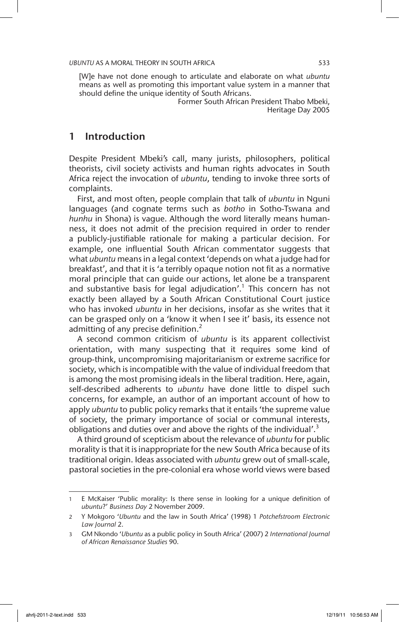[W]e have not done enough to articulate and elaborate on what *ubuntu* means as well as promoting this important value system in a manner that should define the unique identity of South Africans.

Former South African President Thabo Mbeki, Heritage Day 2005

## 1 Introduction

Despite President Mbeki's call, many jurists, philosophers, political theorists, civil society activists and human rights advocates in South Africa reject the invocation of *ubuntu*, tending to invoke three sorts of complaints.

First, and most often, people complain that talk of *ubuntu* in Nguni languages (and cognate terms such as *botho* in Sotho-Tswana and *hunhu* in Shona) is vague. Although the word literally means humanness, it does not admit of the precision required in order to render a publicly-justifiable rationale for making a particular decision. For example, one influential South African commentator suggests that what *ubuntu* means in a legal context 'depends on what a judge had for breakfast', and that it is 'a terribly opaque notion not fit as a normative moral principle that can guide our actions, let alone be a transparent and substantive basis for legal adjudication'.<sup>1</sup> This concern has not exactly been allayed by a South African Constitutional Court justice who has invoked *ubuntu* in her decisions, insofar as she writes that it can be grasped only on a 'know it when I see it' basis, its essence not admitting of any precise definition. $<sup>2</sup>$ </sup>

A second common criticism of *ubuntu* is its apparent collectivist orientation, with many suspecting that it requires some kind of group-think, uncompromising majoritarianism or extreme sacrifice for society, which is incompatible with the value of individual freedom that is among the most promising ideals in the liberal tradition. Here, again, self-described adherents to *ubuntu* have done little to dispel such concerns, for example, an author of an important account of how to apply *ubuntu* to public policy remarks that it entails 'the supreme value of society, the primary importance of social or communal interests, obligations and duties over and above the rights of the individual'.<sup>3</sup>

A third ground of scepticism about the relevance of *ubuntu* for public morality is that it is inappropriate for the new South Africa because of its traditional origin. Ideas associated with *ubuntu* grew out of small-scale, pastoral societies in the pre-colonial era whose world views were based

<sup>1</sup> E McKaiser 'Public morality: Is there sense in looking for a unique definition of *ubuntu*?' *Business Day* 2 November 2009.

<sup>2</sup> Y Mokgoro '*Ubuntu* and the law in South Africa' (1998) 1 *Potchefstroom Electronic Law Journal* 2.

<sup>3</sup> GM Nkondo '*Ubuntu* as a public policy in South Africa' (2007) 2 *International Journal of African Renaissance Studies* 90.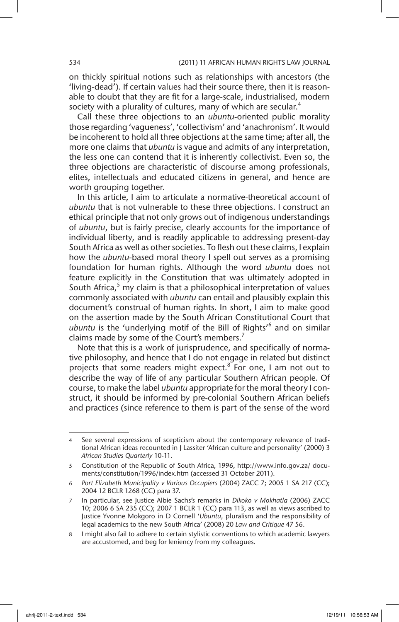on thickly spiritual notions such as relationships with ancestors (the 'living-dead'). If certain values had their source there, then it is reasonable to doubt that they are fit for a large-scale, industrialised, modern society with a plurality of cultures, many of which are secular.<sup>4</sup>

Call these three objections to an *ubuntu*-oriented public morality those regarding 'vagueness', 'collectivism' and 'anachronism'. It would be incoherent to hold all three objections at the same time; after all, the more one claims that *ubuntu* is vague and admits of any interpretation, the less one can contend that it is inherently collectivist. Even so, the three objections are characteristic of discourse among professionals, elites, intellectuals and educated citizens in general, and hence are worth grouping together.

In this article, I aim to articulate a normative-theoretical account of *ubuntu* that is not vulnerable to these three objections. I construct an ethical principle that not only grows out of indigenous understandings of *ubuntu*, but is fairly precise, clearly accounts for the importance of individual liberty, and is readily applicable to addressing present-day South Africa as well as other societies. To flesh out these claims, I explain how the *ubuntu*-based moral theory I spell out serves as a promising foundation for human rights. Although the word *ubuntu* does not feature explicitly in the Constitution that was ultimately adopted in South Africa,<sup>5</sup> my claim is that a philosophical interpretation of values commonly associated with *ubuntu* can entail and plausibly explain this document's construal of human rights. In short, I aim to make good on the assertion made by the South African Constitutional Court that ubuntu is the 'underlying motif of the Bill of Rights<sup>16</sup> and on similar claims made by some of the Court's members.<sup>7</sup>

Note that this is a work of jurisprudence, and specifically of normative philosophy, and hence that I do not engage in related but distinct projects that some readers might expect.<sup>8</sup> For one, I am not out to describe the way of life of any particular Southern African people. Of course, to make the label *ubuntu* appropriate for the moral theory I construct, it should be informed by pre-colonial Southern African beliefs and practices (since reference to them is part of the sense of the word

See several expressions of scepticism about the contemporary relevance of traditional African ideas recounted in J Lassiter 'African culture and personality' (2000) 3 *African Studies Quarterly* 10-11.

<sup>5</sup> Constitution of the Republic of South Africa, 1996, http://www.info.gov.za/ documents/constitution/1996/index.htm (accessed 31 October 2011).

<sup>6</sup> *Port Elizabeth Municipality v Various Occupiers* (2004) ZACC 7; 2005 1 SA 217 (CC); 2004 12 BCLR 1268 (CC) para 37.

<sup>7</sup> In particular, see Justice Albie Sachs's remarks in *Dikoko v Mokhatla* (2006) ZACC 10; 2006 6 SA 235 (CC); 2007 1 BCLR 1 (CC) para 113, as well as views ascribed to Justice Yvonne Mokgoro in D Cornell '*Ubuntu*, pluralism and the responsibility of legal academics to the new South Africa' (2008) 20 *Law and Critique* 47 56.

<sup>8</sup> I might also fail to adhere to certain stylistic conventions to which academic lawyers are accustomed, and beg for leniency from my colleagues.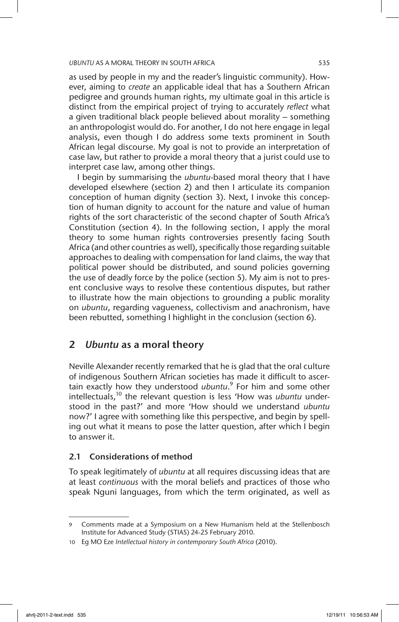as used by people in my and the reader's linguistic community). However, aiming to *create* an applicable ideal that has a Southern African pedigree and grounds human rights, my ultimate goal in this article is distinct from the empirical project of trying to accurately *reflect* what a given traditional black people believed about morality – something an anthropologist would do. For another, I do not here engage in legal analysis, even though I do address some texts prominent in South African legal discourse. My goal is not to provide an interpretation of case law, but rather to provide a moral theory that a jurist could use to interpret case law, among other things.

I begin by summarising the *ubuntu*-based moral theory that I have developed elsewhere (section 2) and then I articulate its companion conception of human dignity (section 3). Next, I invoke this conception of human dignity to account for the nature and value of human rights of the sort characteristic of the second chapter of South Africa's Constitution (section 4). In the following section, I apply the moral theory to some human rights controversies presently facing South Africa (and other countries as well), specifically those regarding suitable approaches to dealing with compensation for land claims, the way that political power should be distributed, and sound policies governing the use of deadly force by the police (section 5). My aim is not to present conclusive ways to resolve these contentious disputes, but rather to illustrate how the main objections to grounding a public morality on *ubuntu*, regarding vagueness, collectivism and anachronism, have been rebutted, something I highlight in the conclusion (section 6).

## 2 *Ubuntu* as a moral theory

Neville Alexander recently remarked that he is glad that the oral culture of indigenous Southern African societies has made it difficult to ascertain exactly how they understood *ubuntu*. 9 For him and some other intellectuals,<sup>10</sup> the relevant question is less 'How was *ubuntu* understood in the past?' and more 'How should we understand *ubuntu* now?' I agree with something like this perspective, and begin by spelling out what it means to pose the latter question, after which I begin to answer it.

### 2.1 Considerations of method

To speak legitimately of *ubuntu* at all requires discussing ideas that are at least *continuous* with the moral beliefs and practices of those who speak Nguni languages, from which the term originated, as well as

Comments made at a Symposium on a New Humanism held at the Stellenbosch Institute for Advanced Study (STIAS) 24-25 February 2010.

<sup>10</sup> Eg MO Eze *Intellectual history in contemporary South Africa* (2010).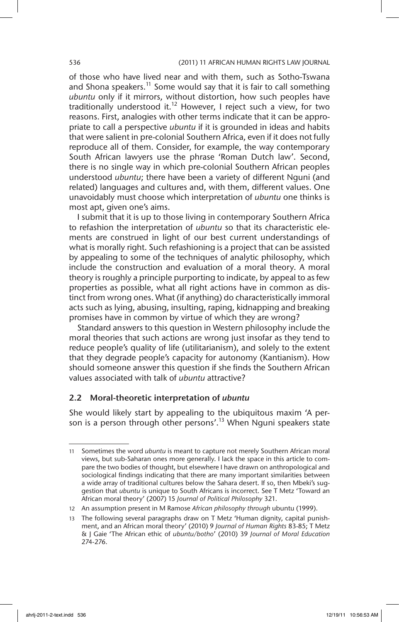### 536 (2011) 11 AFRICAN HUMAN RIGHTS LAW JOURNAL

of those who have lived near and with them, such as Sotho-Tswana and Shona speakers.<sup>11</sup> Some would say that it is fair to call something *ubuntu* only if it mirrors, without distortion, how such peoples have traditionally understood it.<sup>12</sup> However, I reject such a view, for two reasons. First, analogies with other terms indicate that it can be appropriate to call a perspective *ubuntu* if it is grounded in ideas and habits that were salient in pre-colonial Southern Africa, even if it does not fully reproduce all of them. Consider, for example, the way contemporary South African lawyers use the phrase 'Roman Dutch law'. Second, there is no single way in which pre-colonial Southern African peoples understood *ubuntu*; there have been a variety of different Nguni (and related) languages and cultures and, with them, different values. One unavoidably must choose which interpretation of *ubuntu* one thinks is most apt, given one's aims.

I submit that it is up to those living in contemporary Southern Africa to refashion the interpretation of *ubuntu* so that its characteristic elements are construed in light of our best current understandings of what is morally right. Such refashioning is a project that can be assisted by appealing to some of the techniques of analytic philosophy, which include the construction and evaluation of a moral theory. A moral theory is roughly a principle purporting to indicate, by appeal to as few properties as possible, what all right actions have in common as distinct from wrong ones. What (if anything) do characteristically immoral acts such as lying, abusing, insulting, raping, kidnapping and breaking promises have in common by virtue of which they are wrong?

Standard answers to this question in Western philosophy include the moral theories that such actions are wrong just insofar as they tend to reduce people's quality of life (utilitarianism), and solely to the extent that they degrade people's capacity for autonomy (Kantianism). How should someone answer this question if she finds the Southern African values associated with talk of *ubuntu* attractive?

### 2.2 Moral-theoretic interpretation of *ubuntu*

She would likely start by appealing to the ubiquitous maxim 'A person is a person through other persons'.<sup>13</sup> When Nguni speakers state

<sup>11</sup> Sometimes the word *ubuntu* is meant to capture not merely Southern African moral views, but sub-Saharan ones more generally. I lack the space in this article to compare the two bodies of thought, but elsewhere I have drawn on anthropological and sociological findings indicating that there are many important similarities between a wide array of traditional cultures below the Sahara desert. If so, then Mbeki's suggestion that *ubuntu* is unique to South Africans is incorrect. See T Metz 'Toward an African moral theory' (2007) 15 *Journal of Political Philosophy* 321.

<sup>12</sup> An assumption present in M Ramose *African philosophy through* ubuntu (1999).

<sup>13</sup> The following several paragraphs draw on T Metz 'Human dignity, capital punishment, and an African moral theory' (2010) 9 *Journal of Human Rights* 83-85; T Metz & J Gaie 'The African ethic of *ubuntu/botho*' (2010) 39 *Journal of Moral Education* 274-276.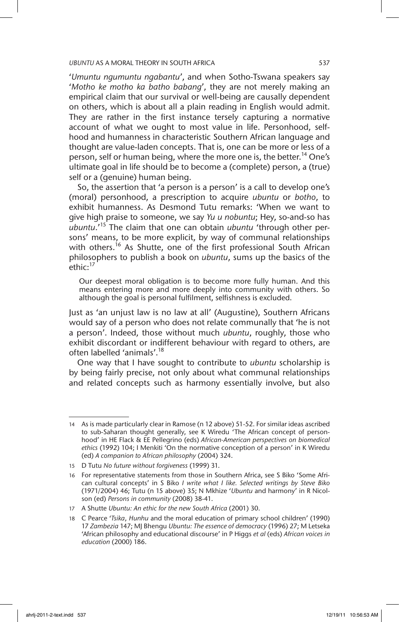'*Umuntu ngumuntu ngabantu*', and when Sotho-Tswana speakers say '*Motho ke motho ka batho babang*', they are not merely making an empirical claim that our survival or well-being are causally dependent on others, which is about all a plain reading in English would admit. They are rather in the first instance tersely capturing a normative account of what we ought to most value in life. Personhood, selfhood and humanness in characteristic Southern African language and thought are value-laden concepts. That is, one can be more or less of a person, self or human being, where the more one is, the better.<sup>14</sup> One's ultimate goal in life should be to become a (complete) person, a (true) self or a (genuine) human being.

So, the assertion that 'a person is a person' is a call to develop one's (moral) personhood, a prescription to acquire *ubuntu* or *botho*, to exhibit humanness. As Desmond Tutu remarks: 'When we want to give high praise to someone, we say *Yu u nobuntu*; Hey, so-and-so has *ubuntu*.'15 The claim that one can obtain *ubuntu* 'through other persons' means, to be more explicit, by way of communal relationships with others.<sup>16</sup> As Shutte, one of the first professional South African philosophers to publish a book on *ubuntu*, sums up the basics of the ethic:<sup>17</sup>

Our deepest moral obligation is to become more fully human. And this means entering more and more deeply into community with others. So although the goal is personal fulfilment, selfishness is excluded.

Just as 'an unjust law is no law at all' (Augustine), Southern Africans would say of a person who does not relate communally that 'he is not a person'. Indeed, those without much *ubuntu*, roughly, those who exhibit discordant or indifferent behaviour with regard to others, are often labelled 'animals'.18

One way that I have sought to contribute to *ubuntu* scholarship is by being fairly precise, not only about what communal relationships and related concepts such as harmony essentially involve, but also

<sup>14</sup> As is made particularly clear in Ramose (n 12 above) 51-52. For similar ideas ascribed to sub-Saharan thought generally, see K Wiredu 'The African concept of personhood' in HE Flack & EE Pellegrino (eds) *African-American perspectives on biomedical ethics* (1992) 104; I Menkiti 'On the normative conception of a person' in K Wiredu (ed) *A companion to African philosophy* (2004) 324.

<sup>15</sup> D Tutu *No future without forgiveness* (1999) 31.

<sup>16</sup> For representative statements from those in Southern Africa, see S Biko 'Some African cultural concepts' in S Biko *I write what I like. Selected writings by Steve Biko*  (1971/2004) 46; Tutu (n 15 above) 35; N Mkhize '*Ubuntu* and harmony' in R Nicolson (ed) *Persons in community* (2008) 38-41.

<sup>17</sup> A Shutte *Ubuntu: An ethic for the new South Africa* (2001) 30.

<sup>18</sup> C Pearce '*Tsika*, *Hunhu* and the moral education of primary school children' (1990) 17 *Zambezia* 147; MJ Bhengu *Ubuntu: The essence of democracy* (1996) 27; M Letseka 'African philosophy and educational discourse' in P Higgs *et al* (eds) *African voices in education* (2000) 186.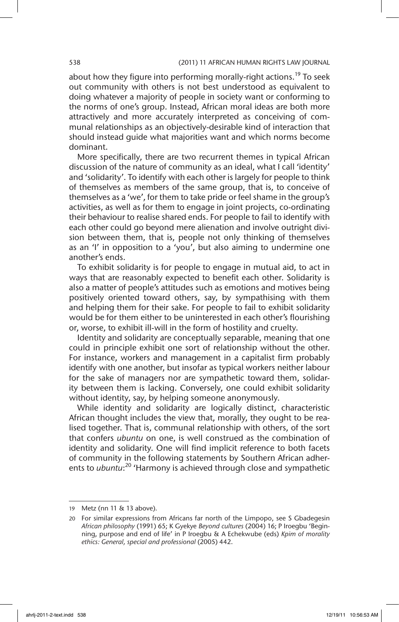about how they figure into performing morally-right actions.<sup>19</sup> To seek out community with others is not best understood as equivalent to doing whatever a majority of people in society want or conforming to the norms of one's group. Instead, African moral ideas are both more attractively and more accurately interpreted as conceiving of communal relationships as an objectively-desirable kind of interaction that should instead guide what majorities want and which norms become dominant.

More specifically, there are two recurrent themes in typical African discussion of the nature of community as an ideal, what I call 'identity' and 'solidarity'. To identify with each other is largely for people to think of themselves as members of the same group, that is, to conceive of themselves as a 'we', for them to take pride or feel shame in the group's activities, as well as for them to engage in joint projects, co-ordinating their behaviour to realise shared ends. For people to fail to identify with each other could go beyond mere alienation and involve outright division between them, that is, people not only thinking of themselves as an 'I' in opposition to a 'you', but also aiming to undermine one another's ends.

To exhibit solidarity is for people to engage in mutual aid, to act in ways that are reasonably expected to benefit each other. Solidarity is also a matter of people's attitudes such as emotions and motives being positively oriented toward others, say, by sympathising with them and helping them for their sake. For people to fail to exhibit solidarity would be for them either to be uninterested in each other's flourishing or, worse, to exhibit ill-will in the form of hostility and cruelty.

Identity and solidarity are conceptually separable, meaning that one could in principle exhibit one sort of relationship without the other. For instance, workers and management in a capitalist firm probably identify with one another, but insofar as typical workers neither labour for the sake of managers nor are sympathetic toward them, solidarity between them is lacking. Conversely, one could exhibit solidarity without identity, say, by helping someone anonymously.

While identity and solidarity are logically distinct, characteristic African thought includes the view that, morally, they ought to be realised together. That is, communal relationship with others, of the sort that confers *ubuntu* on one, is well construed as the combination of identity and solidarity. One will find implicit reference to both facets of community in the following statements by Southern African adherents to *ubuntu*: 20 'Harmony is achieved through close and sympathetic

<sup>19</sup> Metz (nn 11 & 13 above).

<sup>20</sup> For similar expressions from Africans far north of the Limpopo, see S Gbadegesin *African philosophy* (1991) 65; K Gyekye *Beyond cultures* (2004) 16; P Iroegbu 'Beginning, purpose and end of life' in P Iroegbu & A Echekwube (eds) *Kpim of morality ethics: General, special and professional* (2005) 442.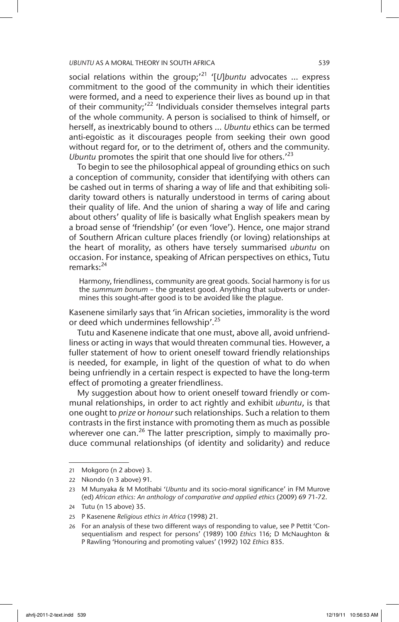social relations within the group;'21 '[*U*]*buntu* advocates … express commitment to the good of the community in which their identities were formed, and a need to experience their lives as bound up in that of their community;<sup>22</sup> 'Individuals consider themselves integral parts of the whole community. A person is socialised to think of himself, or herself, as inextricably bound to others … *Ubuntu* ethics can be termed anti-egoistic as it discourages people from seeking their own good without regard for, or to the detriment of, others and the community. *Ubuntu* promotes the spirit that one should live for others.'23

To begin to see the philosophical appeal of grounding ethics on such a conception of community, consider that identifying with others can be cashed out in terms of sharing a way of life and that exhibiting solidarity toward others is naturally understood in terms of caring about their quality of life. And the union of sharing a way of life and caring about others' quality of life is basically what English speakers mean by a broad sense of 'friendship' (or even 'love'). Hence, one major strand of Southern African culture places friendly (or loving) relationships at the heart of morality, as others have tersely summarised *ubuntu* on occasion. For instance, speaking of African perspectives on ethics, Tutu remarks:<sup>24</sup>

Harmony, friendliness, community are great goods. Social harmony is for us the *summum bonum –* the greatest good. Anything that subverts or undermines this sought-after good is to be avoided like the plague.

Kasenene similarly says that 'in African societies, immorality is the word or deed which undermines fellowship'.<sup>25</sup>

Tutu and Kasenene indicate that one must, above all, avoid unfriendliness or acting in ways that would threaten communal ties. However, a fuller statement of how to orient oneself toward friendly relationships is needed, for example, in light of the question of what to do when being unfriendly in a certain respect is expected to have the long-term effect of promoting a greater friendliness.

My suggestion about how to orient oneself toward friendly or communal relationships, in order to act rightly and exhibit *ubuntu*, is that one ought to *prize* or *honour* such relationships. Such a relation to them contrasts in the first instance with promoting them as much as possible wherever one can.<sup>26</sup> The latter prescription, simply to maximally produce communal relationships (of identity and solidarity) and reduce

<sup>21</sup> Mokgoro (n 2 above) 3.

<sup>22</sup> Nkondo (n 3 above) 91.

<sup>23</sup> M Munyaka & M Motlhabi '*Ubuntu* and its socio-moral significance' in FM Murove (ed) *African ethics: An anthology of comparative and applied ethics* (2009) 69 71-72.

<sup>24</sup> Tutu (n 15 above) 35.

<sup>25</sup> P Kasenene *Religious ethics in Africa* (1998) 21.

<sup>26</sup> For an analysis of these two different ways of responding to value, see P Pettit 'Consequentialism and respect for persons' (1989) 100 *Ethics* 116; D McNaughton & P Rawling 'Honouring and promoting values' (1992) 102 *Ethics* 835.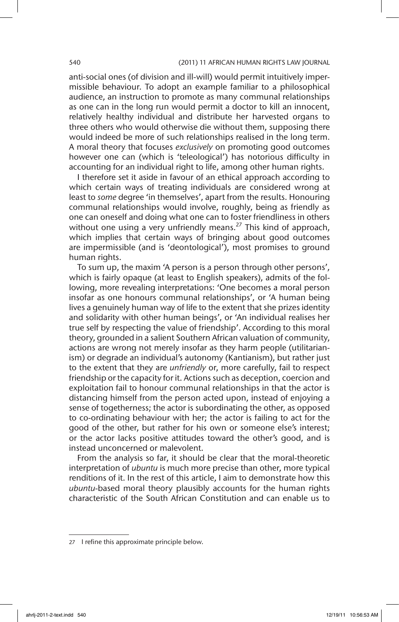#### 540 (2011) 11 AFRICAN HUMAN RIGHTS LAW JOURNAL

anti-social ones (of division and ill-will) would permit intuitively impermissible behaviour. To adopt an example familiar to a philosophical audience, an instruction to promote as many communal relationships as one can in the long run would permit a doctor to kill an innocent, relatively healthy individual and distribute her harvested organs to three others who would otherwise die without them, supposing there would indeed be more of such relationships realised in the long term. A moral theory that focuses *exclusively* on promoting good outcomes however one can (which is 'teleological') has notorious difficulty in accounting for an individual right to life, among other human rights.

I therefore set it aside in favour of an ethical approach according to which certain ways of treating individuals are considered wrong at least to *some* degree 'in themselves', apart from the results. Honouring communal relationships would involve, roughly, being as friendly as one can oneself and doing what one can to foster friendliness in others without one using a very unfriendly means.<sup>27</sup> This kind of approach, which implies that certain ways of bringing about good outcomes are impermissible (and is 'deontological'), most promises to ground human rights.

To sum up, the maxim 'A person is a person through other persons', which is fairly opaque (at least to English speakers), admits of the following, more revealing interpretations: 'One becomes a moral person insofar as one honours communal relationships', or 'A human being lives a genuinely human way of life to the extent that she prizes identity and solidarity with other human beings', or 'An individual realises her true self by respecting the value of friendship'. According to this moral theory, grounded in a salient Southern African valuation of community, actions are wrong not merely insofar as they harm people (utilitarianism) or degrade an individual's autonomy (Kantianism), but rather just to the extent that they are *unfriendly* or, more carefully, fail to respect friendship or the capacity for it. Actions such as deception, coercion and exploitation fail to honour communal relationships in that the actor is distancing himself from the person acted upon, instead of enjoying a sense of togetherness; the actor is subordinating the other, as opposed to co-ordinating behaviour with her; the actor is failing to act for the good of the other, but rather for his own or someone else's interest; or the actor lacks positive attitudes toward the other's good, and is instead unconcerned or malevolent.

From the analysis so far, it should be clear that the moral-theoretic interpretation of *ubuntu* is much more precise than other, more typical renditions of it. In the rest of this article, I aim to demonstrate how this *ubuntu*-based moral theory plausibly accounts for the human rights characteristic of the South African Constitution and can enable us to

<sup>27</sup> I refine this approximate principle below.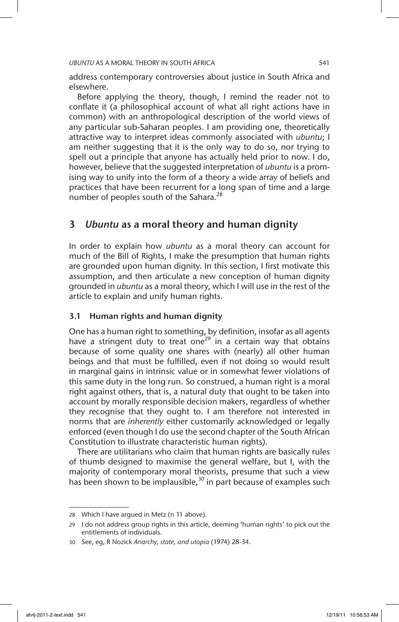address contemporary controversies about justice in South Africa and elsewhere.

Before applying the theory, though, I remind the reader not to conflate it (a philosophical account of what all right actions have in common) with an anthropological description of the world views of any particular sub-Saharan peoples. I am providing one, theoretically attractive way to interpret ideas commonly associated with *ubuntu*; I am neither suggesting that it is the only way to do so, nor trying to spell out a principle that anyone has actually held prior to now. I do, however, believe that the suggested interpretation of *ubuntu* is a promising way to unify into the form of a theory a wide array of beliefs and practices that have been recurrent for a long span of time and a large number of peoples south of the Sahara.<sup>28</sup>

## 3 *Ubuntu* as a moral theory and human dignity

In order to explain how *ubuntu* as a moral theory can account for much of the Bill of Rights, I make the presumption that human rights are grounded upon human dignity. In this section, I first motivate this assumption, and then articulate a new conception of human dignity grounded in *ubuntu* as a moral theory, which I will use in the rest of the article to explain and unify human rights.

### 3.1 Human rights and human dignity

One has a human right to something, by definition, insofar as all agents have a stringent duty to treat one<sup>29</sup> in a certain way that obtains because of some quality one shares with (nearly) all other human beings and that must be fulfilled, even if not doing so would result in marginal gains in intrinsic value or in somewhat fewer violations of this same duty in the long run. So construed, a human right is a moral right against others, that is, a natural duty that ought to be taken into account by morally responsible decision makers, regardless of whether they recognise that they ought to. I am therefore not interested in norms that are *inherently* either customarily acknowledged or legally enforced (even though I do use the second chapter of the South African Constitution to illustrate characteristic human rights).

There are utilitarians who claim that human rights are basically rules of thumb designed to maximise the general welfare, but I, with the majority of contemporary moral theorists, presume that such a view has been shown to be implausible,<sup>30</sup> in part because of examples such

<sup>28</sup> Which I have argued in Metz (n 11 above).

<sup>29</sup> I do not address group rights in this article, deeming 'human rights' to pick out the entitlements of individuals.

<sup>30</sup> See, eg, R Nozick *Anarchy, state, and utopia* (1974) 28-34.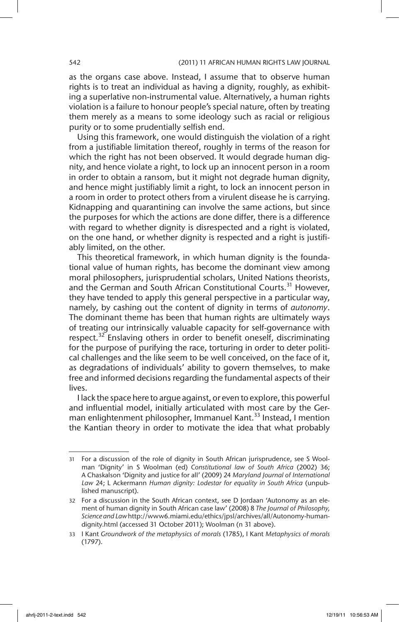as the organs case above. Instead, I assume that to observe human rights is to treat an individual as having a dignity, roughly, as exhibiting a superlative non-instrumental value. Alternatively, a human rights violation is a failure to honour people's special nature, often by treating them merely as a means to some ideology such as racial or religious purity or to some prudentially selfish end.

Using this framework, one would distinguish the violation of a right from a justifiable limitation thereof, roughly in terms of the reason for which the right has not been observed. It would degrade human dignity, and hence violate a right, to lock up an innocent person in a room in order to obtain a ransom, but it might not degrade human dignity, and hence might justifiably limit a right, to lock an innocent person in a room in order to protect others from a virulent disease he is carrying. Kidnapping and quarantining can involve the same actions, but since the purposes for which the actions are done differ, there is a difference with regard to whether dignity is disrespected and a right is violated, on the one hand, or whether dignity is respected and a right is justifiably limited, on the other.

This theoretical framework, in which human dignity is the foundational value of human rights, has become the dominant view among moral philosophers, jurisprudential scholars, United Nations theorists, and the German and South African Constitutional Courts.<sup>31</sup> However, they have tended to apply this general perspective in a particular way, namely, by cashing out the content of dignity in terms of *autonomy*. The dominant theme has been that human rights are ultimately ways of treating our intrinsically valuable capacity for self-governance with respect. $32$  Enslaving others in order to benefit oneself, discriminating for the purpose of purifying the race, torturing in order to deter political challenges and the like seem to be well conceived, on the face of it, as degradations of individuals' ability to govern themselves, to make free and informed decisions regarding the fundamental aspects of their lives.

I lack the space here to argue against, or even to explore, this powerful and influential model, initially articulated with most care by the German enlightenment philosopher, Immanuel Kant.<sup>33</sup> Instead, I mention the Kantian theory in order to motivate the idea that what probably

<sup>31</sup> For a discussion of the role of dignity in South African jurisprudence, see S Woolman 'Dignity' in S Woolman (ed) *Constitutional law of South Africa* (2002) 36; A Chaskalson 'Dignity and justice for all' (2009) 24 *Maryland Journal of International Law* 24; L Ackermann *Human dignity: Lodestar for equality in South Africa* (unpublished manuscript).

<sup>32</sup> For a discussion in the South African context, see D Jordaan 'Autonomy as an element of human dignity in South African case law' (2008) 8 *The Journal of Philosophy, Science and Law*http://www6.miami.edu/ethics/jpsl/archives/all/Autonomy-humandignity.html (accessed 31 October 2011); Woolman (n 31 above).

<sup>33</sup> I Kant *Groundwork of the metaphysics of morals* (1785), I Kant *Metaphysics of morals*  (1797).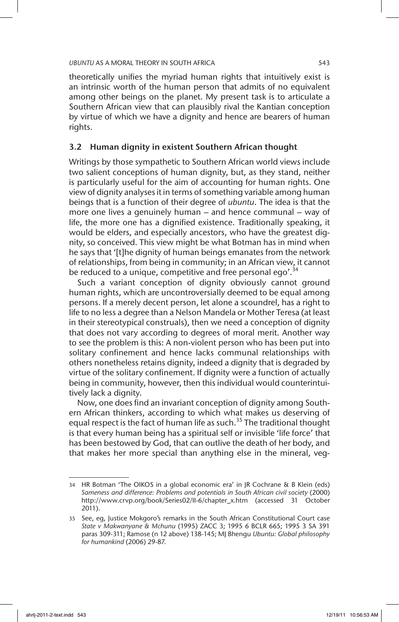theoretically unifies the myriad human rights that intuitively exist is an intrinsic worth of the human person that admits of no equivalent among other beings on the planet. My present task is to articulate a Southern African view that can plausibly rival the Kantian conception by virtue of which we have a dignity and hence are bearers of human rights.

## 3.2 Human dignity in existent Southern African thought

Writings by those sympathetic to Southern African world views include two salient conceptions of human dignity, but, as they stand, neither is particularly useful for the aim of accounting for human rights. One view of dignity analyses it in terms of something variable among human beings that is a function of their degree of *ubuntu*. The idea is that the more one lives a genuinely human – and hence communal – way of life, the more one has a dignified existence. Traditionally speaking, it would be elders, and especially ancestors, who have the greatest dignity, so conceived. This view might be what Botman has in mind when he says that '[t]he dignity of human beings emanates from the network of relationships, from being in community; in an African view, it cannot be reduced to a unique, competitive and free personal ego'.<sup>34</sup>

Such a variant conception of dignity obviously cannot ground human rights, which are uncontroversially deemed to be equal among persons. If a merely decent person, let alone a scoundrel, has a right to life to no less a degree than a Nelson Mandela or Mother Teresa (at least in their stereotypical construals), then we need a conception of dignity that does not vary according to degrees of moral merit. Another way to see the problem is this: A non-violent person who has been put into solitary confinement and hence lacks communal relationships with others nonetheless retains dignity, indeed a dignity that is degraded by virtue of the solitary confinement. If dignity were a function of actually being in community, however, then this individual would counterintuitively lack a dignity.

Now, one does find an invariant conception of dignity among Southern African thinkers, according to which what makes us deserving of equal respect is the fact of human life as such.<sup>35</sup> The traditional thought is that every human being has a spiritual self or invisible 'life force' that has been bestowed by God, that can outlive the death of her body, and that makes her more special than anything else in the mineral, veg-

<sup>34</sup> HR Botman 'The OIKOS in a global economic era' in JR Cochrane & B Klein (eds) *Sameness and difference: Problems and potentials in South African civil society* (2000) http://www.crvp.org/book/Series02/II-6/chapter\_x.htm (accessed 31 October 2011).

<sup>35</sup> See, eg, Justice Mokgoro's remarks in the South African Constitutional Court case *State v Makwanyane & Mchunu* (1995) ZACC 3; 1995 6 BCLR 665; 1995 3 SA 391 paras 309-311; Ramose (n 12 above) 138-145; MJ Bhengu *Ubuntu: Global philosophy for humankind* (2006) 29-87.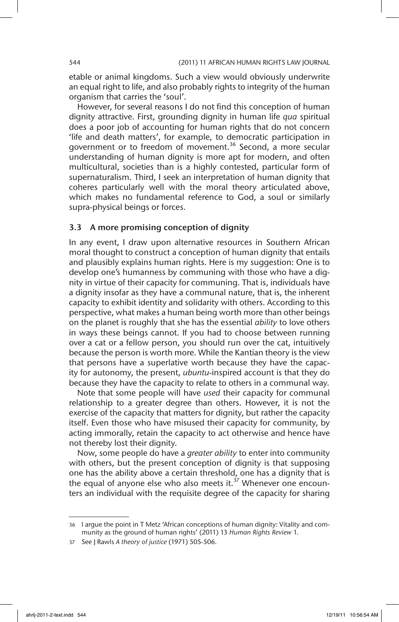etable or animal kingdoms. Such a view would obviously underwrite an equal right to life, and also probably rights to integrity of the human organism that carries the 'soul'.

However, for several reasons I do not find this conception of human dignity attractive. First, grounding dignity in human life *qua* spiritual does a poor job of accounting for human rights that do not concern 'life and death matters', for example, to democratic participation in government or to freedom of movement.<sup>36</sup> Second, a more secular understanding of human dignity is more apt for modern, and often multicultural, societies than is a highly contested, particular form of supernaturalism. Third, I seek an interpretation of human dignity that coheres particularly well with the moral theory articulated above, which makes no fundamental reference to God, a soul or similarly supra-physical beings or forces.

### 3.3 A more promising conception of dignity

In any event, I draw upon alternative resources in Southern African moral thought to construct a conception of human dignity that entails and plausibly explains human rights. Here is my suggestion: One is to develop one's humanness by communing with those who have a dignity in virtue of their capacity for communing. That is, individuals have a dignity insofar as they have a communal nature, that is, the inherent capacity to exhibit identity and solidarity with others. According to this perspective, what makes a human being worth more than other beings on the planet is roughly that she has the essential *ability* to love others in ways these beings cannot. If you had to choose between running over a cat or a fellow person, you should run over the cat, intuitively because the person is worth more. While the Kantian theory is the view that persons have a superlative worth because they have the capacity for autonomy, the present, *ubuntu*-inspired account is that they do because they have the capacity to relate to others in a communal way.

Note that some people will have *used* their capacity for communal relationship to a greater degree than others. However, it is not the exercise of the capacity that matters for dignity, but rather the capacity itself. Even those who have misused their capacity for community, by acting immorally, retain the capacity to act otherwise and hence have not thereby lost their dignity.

Now, some people do have a *greater ability* to enter into community with others, but the present conception of dignity is that supposing one has the ability above a certain threshold, one has a dignity that is the equal of anyone else who also meets it. $37$  Whenever one encounters an individual with the requisite degree of the capacity for sharing

<sup>36</sup> I argue the point in T Metz 'African conceptions of human dignity: Vitality and community as the ground of human rights' (2011) 13 *Human Rights Review* 1.

<sup>37</sup> See J Rawls *A theory of justice* (1971) 505-506.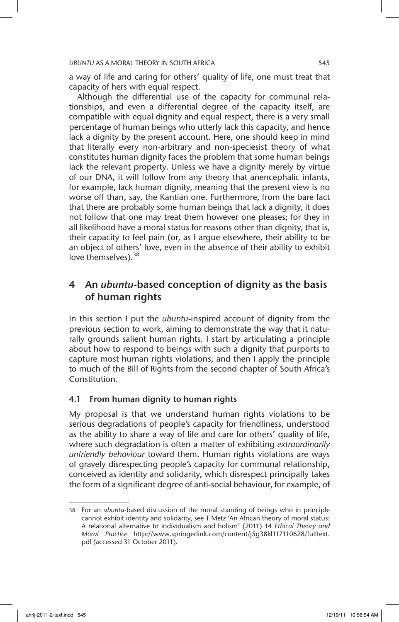a way of life and caring for others' quality of life, one must treat that capacity of hers with equal respect.

Although the differential use of the capacity for communal relationships, and even a differential degree of the capacity itself, are compatible with equal dignity and equal respect, there is a very small percentage of human beings who utterly lack this capacity, and hence lack a dignity by the present account. Here, one should keep in mind that literally every non-arbitrary and non-speciesist theory of what constitutes human dignity faces the problem that some human beings lack the relevant property. Unless we have a dignity merely by virtue of our DNA, it will follow from any theory that anencephalic infants, for example, lack human dignity, meaning that the present view is no worse off than, say, the Kantian one. Furthermore, from the bare fact that there are probably some human beings that lack a dignity, it does not follow that one may treat them however one pleases; for they in all likelihood have a moral status for reasons other than dignity, that is, their capacity to feel pain (or, as I argue elsewhere, their ability to be an object of others' love, even in the absence of their ability to exhibit love themselves).<sup>38</sup>

## 4 An *ubuntu*-based conception of dignity as the basis of human rights

In this section I put the *ubuntu*-inspired account of dignity from the previous section to work, aiming to demonstrate the way that it naturally grounds salient human rights. I start by articulating a principle about how to respond to beings with such a dignity that purports to capture most human rights violations, and then I apply the principle to much of the Bill of Rights from the second chapter of South Africa's Constitution.

## 4.1 From human dignity to human rights

My proposal is that we understand human rights violations to be serious degradations of people's capacity for friendliness, understood as the ability to share a way of life and care for others' quality of life, where such degradation is often a matter of exhibiting *extraordinarily unfriendly behaviour* toward them. Human rights violations are ways of gravely disrespecting people's capacity for communal relationship, conceived as identity and solidarity, which disrespect principally takes the form of a significant degree of anti-social behaviour, for example, of

<sup>38</sup> For an *ubuntu*-based discussion of the moral standing of beings who in principle cannot exhibit identity and solidarity, see T Metz 'An African theory of moral status: A relational alternative to individualism and holism' (2011) 14 *Ethical Theory and Moral Practice* http://www.springerlink.com/content/j5g38kl117110628/fulltext. pdf (accessed 31 October 2011).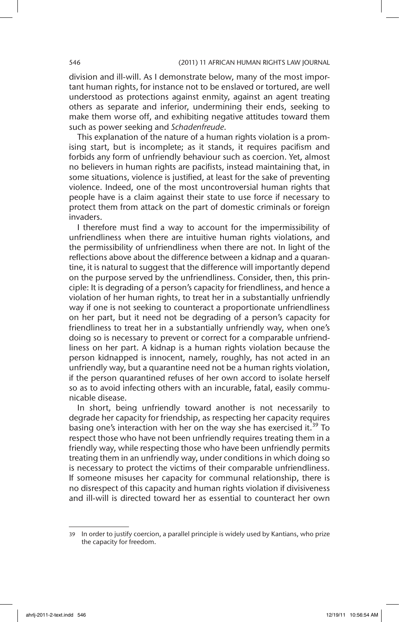division and ill-will. As I demonstrate below, many of the most important human rights, for instance not to be enslaved or tortured, are well understood as protections against enmity, against an agent treating others as separate and inferior, undermining their ends, seeking to make them worse off, and exhibiting negative attitudes toward them such as power seeking and *Schadenfreude*.

This explanation of the nature of a human rights violation is a promising start, but is incomplete; as it stands, it requires pacifism and forbids any form of unfriendly behaviour such as coercion. Yet, almost no believers in human rights are pacifists, instead maintaining that, in some situations, violence is justified, at least for the sake of preventing violence. Indeed, one of the most uncontroversial human rights that people have is a claim against their state to use force if necessary to protect them from attack on the part of domestic criminals or foreign invaders.

I therefore must find a way to account for the impermissibility of unfriendliness when there are intuitive human rights violations, and the permissibility of unfriendliness when there are not. In light of the reflections above about the difference between a kidnap and a quarantine, it is natural to suggest that the difference will importantly depend on the purpose served by the unfriendliness. Consider, then, this principle: It is degrading of a person's capacity for friendliness, and hence a violation of her human rights, to treat her in a substantially unfriendly way if one is not seeking to counteract a proportionate unfriendliness on her part, but it need not be degrading of a person's capacity for friendliness to treat her in a substantially unfriendly way, when one's doing so is necessary to prevent or correct for a comparable unfriendliness on her part. A kidnap is a human rights violation because the person kidnapped is innocent, namely, roughly, has not acted in an unfriendly way, but a quarantine need not be a human rights violation, if the person quarantined refuses of her own accord to isolate herself so as to avoid infecting others with an incurable, fatal, easily communicable disease.

In short, being unfriendly toward another is not necessarily to degrade her capacity for friendship, as respecting her capacity requires basing one's interaction with her on the way she has exercised it.<sup>39</sup> To respect those who have not been unfriendly requires treating them in a friendly way, while respecting those who have been unfriendly permits treating them in an unfriendly way, under conditions in which doing so is necessary to protect the victims of their comparable unfriendliness. If someone misuses her capacity for communal relationship, there is no disrespect of this capacity and human rights violation if divisiveness and ill-will is directed toward her as essential to counteract her own

<sup>39</sup> In order to justify coercion, a parallel principle is widely used by Kantians, who prize the capacity for freedom.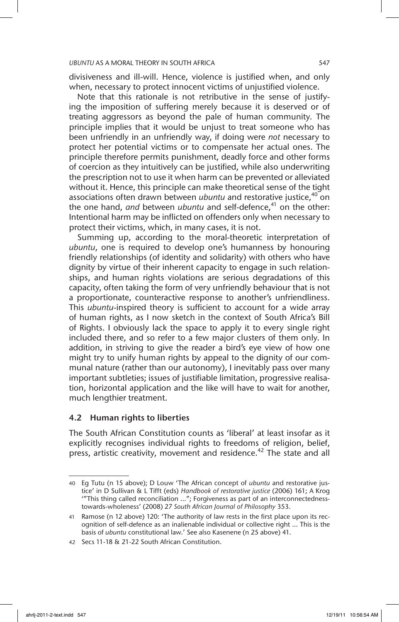divisiveness and ill-will. Hence, violence is justified when, and only when, necessary to protect innocent victims of unjustified violence.

Note that this rationale is not retributive in the sense of justifying the imposition of suffering merely because it is deserved or of treating aggressors as beyond the pale of human community. The principle implies that it would be unjust to treat someone who has been unfriendly in an unfriendly way, if doing were *not* necessary to protect her potential victims or to compensate her actual ones. The principle therefore permits punishment, deadly force and other forms of coercion as they intuitively can be justified, while also underwriting the prescription not to use it when harm can be prevented or alleviated without it. Hence, this principle can make theoretical sense of the tight associations often drawn between *ubuntu* and restorative justice,<sup>40</sup> on the one hand, *and* between *ubuntu* and self-defence,<sup>41</sup> on the other: Intentional harm may be inflicted on offenders only when necessary to protect their victims, which, in many cases, it is not.

Summing up, according to the moral-theoretic interpretation of *ubuntu*, one is required to develop one's humanness by honouring friendly relationships (of identity and solidarity) with others who have dignity by virtue of their inherent capacity to engage in such relationships, and human rights violations are serious degradations of this capacity, often taking the form of very unfriendly behaviour that is not a proportionate, counteractive response to another's unfriendliness. This *ubuntu*-inspired theory is sufficient to account for a wide array of human rights, as I now sketch in the context of South Africa's Bill of Rights. I obviously lack the space to apply it to every single right included there, and so refer to a few major clusters of them only. In addition, in striving to give the reader a bird's eye view of how one might try to unify human rights by appeal to the dignity of our communal nature (rather than our autonomy), I inevitably pass over many important subtleties; issues of justifiable limitation, progressive realisation, horizontal application and the like will have to wait for another, much lengthier treatment.

### 4.2 Human rights to liberties

The South African Constitution counts as 'liberal' at least insofar as it explicitly recognises individual rights to freedoms of religion, belief, press, artistic creativity, movement and residence.<sup>42</sup> The state and all

<sup>40</sup> Eg Tutu (n 15 above); D Louw 'The African concept of *ubuntu* and restorative justice' in D Sullivan & L Tifft (eds) *Handbook of restorative justice* (2006) 161; A Krog '"This thing called reconciliation …"; Forgiveness as part of an interconnectednesstowards-wholeness' (2008) 27 *South African Journal of Philosophy* 353.

<sup>41</sup> Ramose (n 12 above) 120: 'The authority of law rests in the first place upon its recognition of self-defence as an inalienable individual or collective right … This is the basis of *ubuntu* constitutional law.' See also Kasenene (n 25 above) 41.

<sup>42</sup> Secs 11-18 & 21-22 South African Constitution.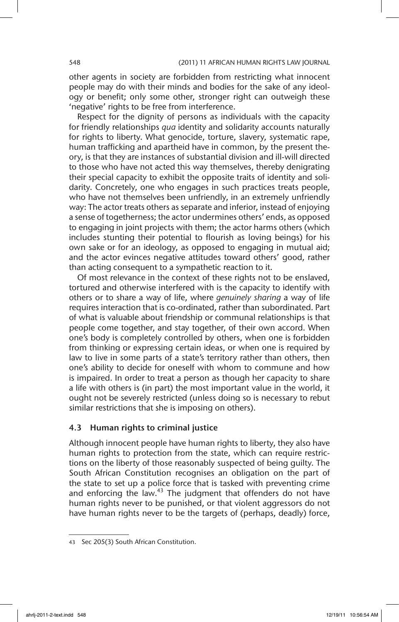other agents in society are forbidden from restricting what innocent people may do with their minds and bodies for the sake of any ideology or benefit; only some other, stronger right can outweigh these 'negative' rights to be free from interference.

Respect for the dignity of persons as individuals with the capacity for friendly relationships *qua* identity and solidarity accounts naturally for rights to liberty. What genocide, torture, slavery, systematic rape, human trafficking and apartheid have in common, by the present theory, is that they are instances of substantial division and ill-will directed to those who have not acted this way themselves, thereby denigrating their special capacity to exhibit the opposite traits of identity and solidarity. Concretely, one who engages in such practices treats people, who have not themselves been unfriendly, in an extremely unfriendly way: The actor treats others as separate and inferior, instead of enjoying a sense of togetherness; the actor undermines others' ends, as opposed to engaging in joint projects with them; the actor harms others (which includes stunting their potential to flourish as loving beings) for his own sake or for an ideology, as opposed to engaging in mutual aid; and the actor evinces negative attitudes toward others' good, rather than acting consequent to a sympathetic reaction to it.

Of most relevance in the context of these rights not to be enslaved, tortured and otherwise interfered with is the capacity to identify with others or to share a way of life, where *genuinely sharing* a way of life requires interaction that is co-ordinated, rather than subordinated. Part of what is valuable about friendship or communal relationships is that people come together, and stay together, of their own accord. When one's body is completely controlled by others, when one is forbidden from thinking or expressing certain ideas, or when one is required by law to live in some parts of a state's territory rather than others, then one's ability to decide for oneself with whom to commune and how is impaired. In order to treat a person as though her capacity to share a life with others is (in part) the most important value in the world, it ought not be severely restricted (unless doing so is necessary to rebut similar restrictions that she is imposing on others).

### 4.3 Human rights to criminal justice

Although innocent people have human rights to liberty, they also have human rights to protection from the state, which can require restrictions on the liberty of those reasonably suspected of being guilty. The South African Constitution recognises an obligation on the part of the state to set up a police force that is tasked with preventing crime and enforcing the law.<sup>43</sup> The judgment that offenders do not have human rights never to be punished, or that violent aggressors do not have human rights never to be the targets of (perhaps, deadly) force,

<sup>43</sup> Sec 205(3) South African Constitution.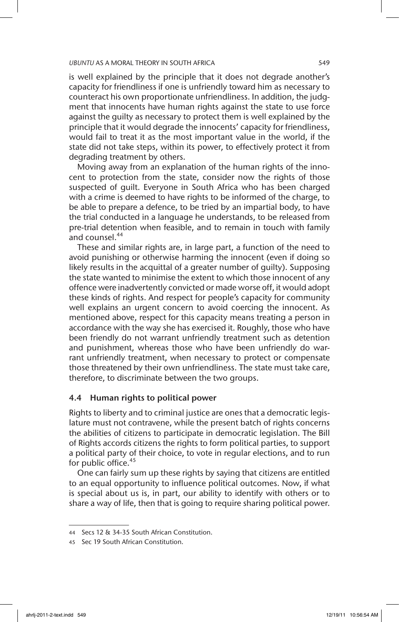is well explained by the principle that it does not degrade another's capacity for friendliness if one is unfriendly toward him as necessary to counteract his own proportionate unfriendliness. In addition, the judgment that innocents have human rights against the state to use force against the guilty as necessary to protect them is well explained by the principle that it would degrade the innocents' capacity for friendliness, would fail to treat it as the most important value in the world, if the state did not take steps, within its power, to effectively protect it from degrading treatment by others.

Moving away from an explanation of the human rights of the innocent to protection from the state, consider now the rights of those suspected of guilt. Everyone in South Africa who has been charged with a crime is deemed to have rights to be informed of the charge, to be able to prepare a defence, to be tried by an impartial body, to have the trial conducted in a language he understands, to be released from pre-trial detention when feasible, and to remain in touch with family and counsel.<sup>44</sup>

These and similar rights are, in large part, a function of the need to avoid punishing or otherwise harming the innocent (even if doing so likely results in the acquittal of a greater number of guilty). Supposing the state wanted to minimise the extent to which those innocent of any offence were inadvertently convicted or made worse off, it would adopt these kinds of rights. And respect for people's capacity for community well explains an urgent concern to avoid coercing the innocent. As mentioned above, respect for this capacity means treating a person in accordance with the way she has exercised it. Roughly, those who have been friendly do not warrant unfriendly treatment such as detention and punishment, whereas those who have been unfriendly do warrant unfriendly treatment, when necessary to protect or compensate those threatened by their own unfriendliness. The state must take care, therefore, to discriminate between the two groups.

### 4.4 Human rights to political power

Rights to liberty and to criminal justice are ones that a democratic legislature must not contravene, while the present batch of rights concerns the abilities of citizens to participate in democratic legislation. The Bill of Rights accords citizens the rights to form political parties, to support a political party of their choice, to vote in regular elections, and to run for public office.<sup>45</sup>

One can fairly sum up these rights by saying that citizens are entitled to an equal opportunity to influence political outcomes. Now, if what is special about us is, in part, our ability to identify with others or to share a way of life, then that is going to require sharing political power.

<sup>44</sup> Secs 12 & 34-35 South African Constitution.

<sup>45</sup> Sec 19 South African Constitution.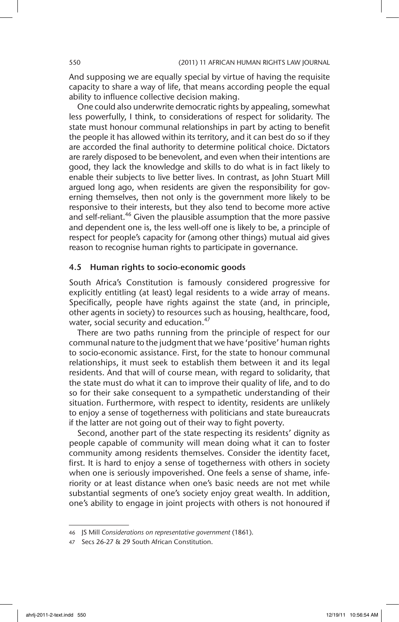And supposing we are equally special by virtue of having the requisite capacity to share a way of life, that means according people the equal ability to influence collective decision making.

One could also underwrite democratic rights by appealing, somewhat less powerfully, I think, to considerations of respect for solidarity. The state must honour communal relationships in part by acting to benefit the people it has allowed within its territory, and it can best do so if they are accorded the final authority to determine political choice. Dictators are rarely disposed to be benevolent, and even when their intentions are good, they lack the knowledge and skills to do what is in fact likely to enable their subjects to live better lives. In contrast, as John Stuart Mill argued long ago, when residents are given the responsibility for governing themselves, then not only is the government more likely to be responsive to their interests, but they also tend to become more active and self-reliant.<sup>46</sup> Given the plausible assumption that the more passive and dependent one is, the less well-off one is likely to be, a principle of respect for people's capacity for (among other things) mutual aid gives reason to recognise human rights to participate in governance.

### 4.5 Human rights to socio-economic goods

South Africa's Constitution is famously considered progressive for explicitly entitling (at least) legal residents to a wide array of means. Specifically, people have rights against the state (and, in principle, other agents in society) to resources such as housing, healthcare, food, water, social security and education.<sup>47</sup>

There are two paths running from the principle of respect for our communal nature to the judgment that we have 'positive' human rights to socio-economic assistance. First, for the state to honour communal relationships, it must seek to establish them between it and its legal residents. And that will of course mean, with regard to solidarity, that the state must do what it can to improve their quality of life, and to do so for their sake consequent to a sympathetic understanding of their situation. Furthermore, with respect to identity, residents are unlikely to enjoy a sense of togetherness with politicians and state bureaucrats if the latter are not going out of their way to fight poverty.

Second, another part of the state respecting its residents' dignity as people capable of community will mean doing what it can to foster community among residents themselves. Consider the identity facet, first. It is hard to enjoy a sense of togetherness with others in society when one is seriously impoverished. One feels a sense of shame, inferiority or at least distance when one's basic needs are not met while substantial segments of one's society enjoy great wealth. In addition, one's ability to engage in joint projects with others is not honoured if

<sup>46</sup> JS Mill *Considerations on representative government* (1861).

<sup>47</sup> Secs 26-27 & 29 South African Constitution.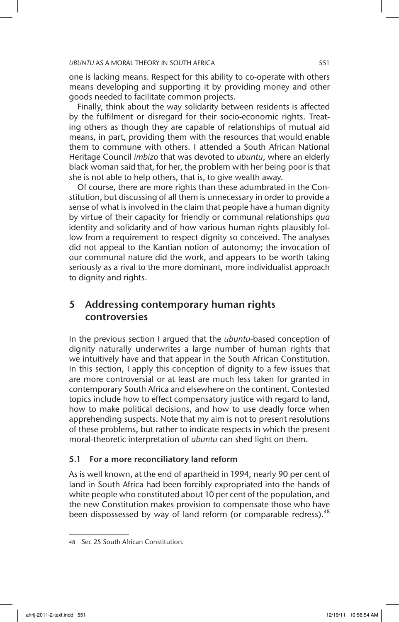one is lacking means. Respect for this ability to co-operate with others means developing and supporting it by providing money and other goods needed to facilitate common projects.

Finally, think about the way solidarity between residents is affected by the fulfilment or disregard for their socio-economic rights. Treating others as though they are capable of relationships of mutual aid means, in part, providing them with the resources that would enable them to commune with others. I attended a South African National Heritage Council *imbizo* that was devoted to *ubuntu*, where an elderly black woman said that, for her, the problem with her being poor is that she is not able to help others, that is, to give wealth away.

Of course, there are more rights than these adumbrated in the Constitution, but discussing of all them is unnecessary in order to provide a sense of what is involved in the claim that people have a human dignity by virtue of their capacity for friendly or communal relationships *qua* identity and solidarity and of how various human rights plausibly follow from a requirement to respect dignity so conceived. The analyses did not appeal to the Kantian notion of autonomy; the invocation of our communal nature did the work, and appears to be worth taking seriously as a rival to the more dominant, more individualist approach to dignity and rights.

## 5 Addressing contemporary human rights controversies

In the previous section I argued that the *ubuntu*-based conception of dignity naturally underwrites a large number of human rights that we intuitively have and that appear in the South African Constitution. In this section, I apply this conception of dignity to a few issues that are more controversial or at least are much less taken for granted in contemporary South Africa and elsewhere on the continent. Contested topics include how to effect compensatory justice with regard to land, how to make political decisions, and how to use deadly force when apprehending suspects. Note that my aim is not to present resolutions of these problems, but rather to indicate respects in which the present moral-theoretic interpretation of *ubuntu* can shed light on them.

## 5.1 For a more reconciliatory land reform

As is well known, at the end of apartheid in 1994, nearly 90 per cent of land in South Africa had been forcibly expropriated into the hands of white people who constituted about 10 per cent of the population, and the new Constitution makes provision to compensate those who have been dispossessed by way of land reform (or comparable redress).<sup>48</sup>

<sup>48</sup> Sec 25 South African Constitution.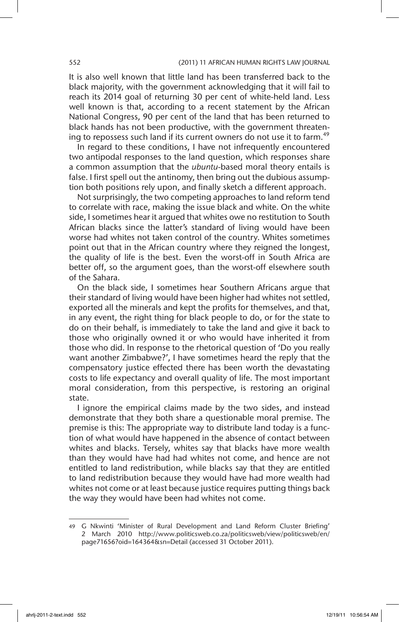It is also well known that little land has been transferred back to the black majority, with the government acknowledging that it will fail to reach its 2014 goal of returning 30 per cent of white-held land. Less well known is that, according to a recent statement by the African National Congress, 90 per cent of the land that has been returned to black hands has not been productive, with the government threatening to repossess such land if its current owners do not use it to farm.<sup>49</sup>

In regard to these conditions, I have not infrequently encountered two antipodal responses to the land question, which responses share a common assumption that the *ubuntu*-based moral theory entails is false. I first spell out the antinomy, then bring out the dubious assumption both positions rely upon, and finally sketch a different approach.

Not surprisingly, the two competing approaches to land reform tend to correlate with race, making the issue black and white. On the white side, I sometimes hear it argued that whites owe no restitution to South African blacks since the latter's standard of living would have been worse had whites not taken control of the country. Whites sometimes point out that in the African country where they reigned the longest, the quality of life is the best. Even the worst-off in South Africa are better off, so the argument goes, than the worst-off elsewhere south of the Sahara.

On the black side, I sometimes hear Southern Africans argue that their standard of living would have been higher had whites not settled, exported all the minerals and kept the profits for themselves, and that, in any event, the right thing for black people to do, or for the state to do on their behalf, is immediately to take the land and give it back to those who originally owned it or who would have inherited it from those who did. In response to the rhetorical question of 'Do you really want another Zimbabwe?', I have sometimes heard the reply that the compensatory justice effected there has been worth the devastating costs to life expectancy and overall quality of life. The most important moral consideration, from this perspective, is restoring an original state.

I ignore the empirical claims made by the two sides, and instead demonstrate that they both share a questionable moral premise. The premise is this: The appropriate way to distribute land today is a function of what would have happened in the absence of contact between whites and blacks. Tersely, whites say that blacks have more wealth than they would have had had whites not come, and hence are not entitled to land redistribution, while blacks say that they are entitled to land redistribution because they would have had more wealth had whites not come or at least because justice requires putting things back the way they would have been had whites not come.

<sup>49</sup> G Nkwinti 'Minister of Rural Development and Land Reform Cluster Briefing' 2 March 2010 http://www.politicsweb.co.za/politicsweb/view/politicsweb/en/ page71656?oid=164364&sn=Detail (accessed 31 October 2011).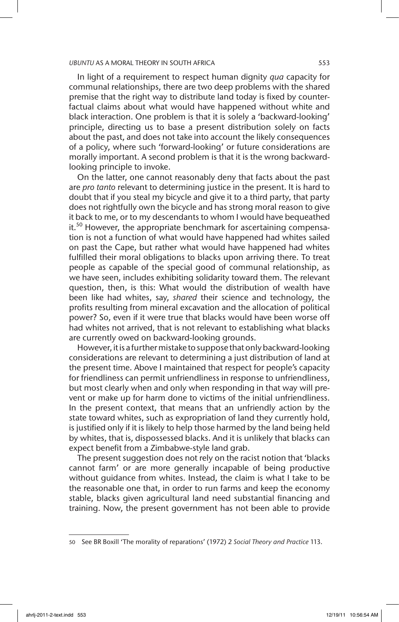In light of a requirement to respect human dignity *qua* capacity for communal relationships, there are two deep problems with the shared premise that the right way to distribute land today is fixed by counterfactual claims about what would have happened without white and black interaction. One problem is that it is solely a 'backward-looking' principle, directing us to base a present distribution solely on facts about the past, and does not take into account the likely consequences of a policy, where such 'forward-looking' or future considerations are morally important. A second problem is that it is the wrong backwardlooking principle to invoke.

On the latter, one cannot reasonably deny that facts about the past are *pro tanto* relevant to determining justice in the present. It is hard to doubt that if you steal my bicycle and give it to a third party, that party does not rightfully own the bicycle and has strong moral reason to give it back to me, or to my descendants to whom I would have bequeathed it.<sup>50</sup> However, the appropriate benchmark for ascertaining compensation is not a function of what would have happened had whites sailed on past the Cape, but rather what would have happened had whites fulfilled their moral obligations to blacks upon arriving there. To treat people as capable of the special good of communal relationship, as we have seen, includes exhibiting solidarity toward them. The relevant question, then, is this: What would the distribution of wealth have been like had whites, say, *shared* their science and technology, the profits resulting from mineral excavation and the allocation of political power? So, even if it were true that blacks would have been worse off had whites not arrived, that is not relevant to establishing what blacks are currently owed on backward-looking grounds.

However, it is a further mistake to suppose that only backward-looking considerations are relevant to determining a just distribution of land at the present time. Above I maintained that respect for people's capacity for friendliness can permit unfriendliness in response to unfriendliness, but most clearly when and only when responding in that way will prevent or make up for harm done to victims of the initial unfriendliness. In the present context, that means that an unfriendly action by the state toward whites, such as expropriation of land they currently hold, is justified only if it is likely to help those harmed by the land being held by whites, that is, dispossessed blacks. And it is unlikely that blacks can expect benefit from a Zimbabwe-style land grab.

The present suggestion does not rely on the racist notion that 'blacks cannot farm' or are more generally incapable of being productive without guidance from whites. Instead, the claim is what I take to be the reasonable one that, in order to run farms and keep the economy stable, blacks given agricultural land need substantial financing and training. Now, the present government has not been able to provide

<sup>50</sup> See BR Boxill 'The morality of reparations' (1972) 2 *Social Theory and Practice* 113.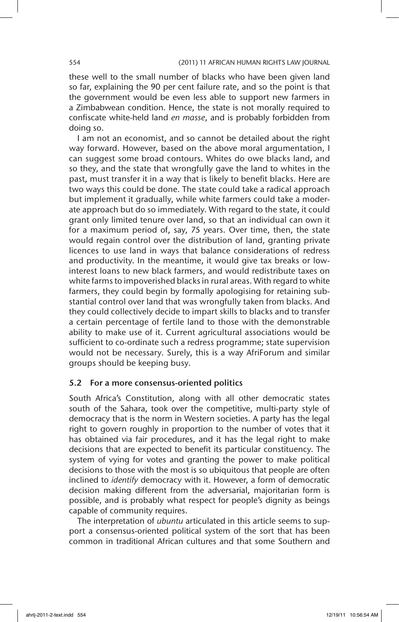these well to the small number of blacks who have been given land so far, explaining the 90 per cent failure rate, and so the point is that the government would be even less able to support new farmers in a Zimbabwean condition. Hence, the state is not morally required to confiscate white-held land *en masse*, and is probably forbidden from doing so.

I am not an economist, and so cannot be detailed about the right way forward. However, based on the above moral argumentation, I can suggest some broad contours. Whites do owe blacks land, and so they, and the state that wrongfully gave the land to whites in the past, must transfer it in a way that is likely to benefit blacks. Here are two ways this could be done. The state could take a radical approach but implement it gradually, while white farmers could take a moderate approach but do so immediately. With regard to the state, it could grant only limited tenure over land, so that an individual can own it for a maximum period of, say, 75 years. Over time, then, the state would regain control over the distribution of land, granting private licences to use land in ways that balance considerations of redress and productivity. In the meantime, it would give tax breaks or lowinterest loans to new black farmers, and would redistribute taxes on white farms to impoverished blacks in rural areas. With regard to white farmers, they could begin by formally apologising for retaining substantial control over land that was wrongfully taken from blacks. And they could collectively decide to impart skills to blacks and to transfer a certain percentage of fertile land to those with the demonstrable ability to make use of it. Current agricultural associations would be sufficient to co-ordinate such a redress programme; state supervision would not be necessary. Surely, this is a way AfriForum and similar groups should be keeping busy.

### 5.2 For a more consensus-oriented politics

South Africa's Constitution, along with all other democratic states south of the Sahara, took over the competitive, multi-party style of democracy that is the norm in Western societies. A party has the legal right to govern roughly in proportion to the number of votes that it has obtained via fair procedures, and it has the legal right to make decisions that are expected to benefit its particular constituency. The system of vying for votes and granting the power to make political decisions to those with the most is so ubiquitous that people are often inclined to *identify* democracy with it. However, a form of democratic decision making different from the adversarial, majoritarian form is possible, and is probably what respect for people's dignity as beings capable of community requires.

The interpretation of *ubuntu* articulated in this article seems to support a consensus-oriented political system of the sort that has been common in traditional African cultures and that some Southern and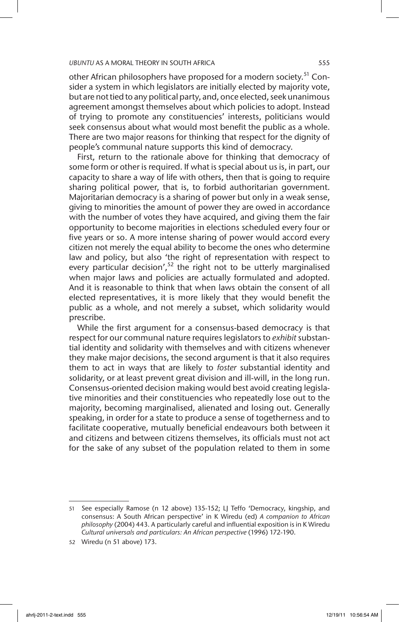other African philosophers have proposed for a modern society.<sup>51</sup> Consider a system in which legislators are initially elected by majority vote, but are not tied to any political party, and, once elected, seek unanimous agreement amongst themselves about which policies to adopt. Instead of trying to promote any constituencies' interests, politicians would seek consensus about what would most benefit the public as a whole. There are two major reasons for thinking that respect for the dignity of people's communal nature supports this kind of democracy.

First, return to the rationale above for thinking that democracy of some form or other is required. If what is special about us is, in part, our capacity to share a way of life with others, then that is going to require sharing political power, that is, to forbid authoritarian government. Majoritarian democracy is a sharing of power but only in a weak sense, giving to minorities the amount of power they are owed in accordance with the number of votes they have acquired, and giving them the fair opportunity to become majorities in elections scheduled every four or five years or so. A more intense sharing of power would accord every citizen not merely the equal ability to become the ones who determine law and policy, but also 'the right of representation with respect to every particular decision', $52$  the right not to be utterly marginalised when major laws and policies are actually formulated and adopted. And it is reasonable to think that when laws obtain the consent of all elected representatives, it is more likely that they would benefit the public as a whole, and not merely a subset, which solidarity would prescribe.

While the first argument for a consensus-based democracy is that respect for our communal nature requires legislators to *exhibit* substantial identity and solidarity with themselves and with citizens whenever they make major decisions, the second argument is that it also requires them to act in ways that are likely to *foster* substantial identity and solidarity, or at least prevent great division and ill-will, in the long run. Consensus-oriented decision making would best avoid creating legislative minorities and their constituencies who repeatedly lose out to the majority, becoming marginalised, alienated and losing out. Generally speaking, in order for a state to produce a sense of togetherness and to facilitate cooperative, mutually beneficial endeavours both between it and citizens and between citizens themselves, its officials must not act for the sake of any subset of the population related to them in some

<sup>51</sup> See especially Ramose (n 12 above) 135-152; LJ Teffo 'Democracy, kingship, and consensus: A South African perspective' in K Wiredu (ed) *A companion to African philosophy* (2004) 443. A particularly careful and influential exposition is in K Wiredu *Cultural universals and particulars: An African perspective* (1996) 172-190.

<sup>52</sup> Wiredu (n 51 above) 173.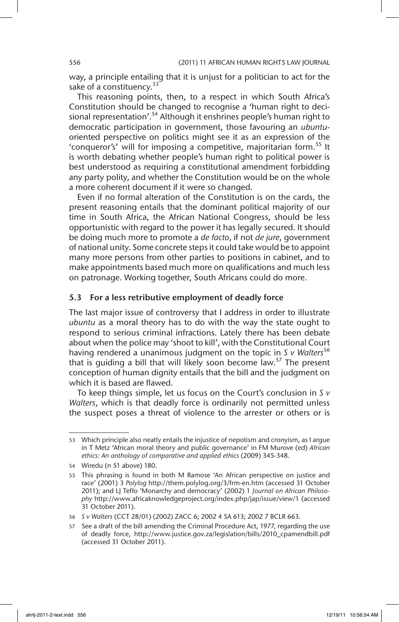way, a principle entailing that it is unjust for a politician to act for the sake of a constituency.<sup>53</sup>

This reasoning points, then, to a respect in which South Africa's Constitution should be changed to recognise a 'human right to decisional representation'.<sup>54</sup> Although it enshrines people's human right to democratic participation in government, those favouring an *ubuntu*oriented perspective on politics might see it as an expression of the 'conqueror's' will for imposing a competitive, majoritarian form.<sup>55</sup> It is worth debating whether people's human right to political power is best understood as requiring a constitutional amendment forbidding any party polity, and whether the Constitution would be on the whole a more coherent document if it were so changed.

Even if no formal alteration of the Constitution is on the cards, the present reasoning entails that the dominant political majority of our time in South Africa, the African National Congress, should be less opportunistic with regard to the power it has legally secured. It should be doing much more to promote a *de facto*, if not *de jure*, government of national unity. Some concrete steps it could take would be to appoint many more persons from other parties to positions in cabinet, and to make appointments based much more on qualifications and much less on patronage. Working together, South Africans could do more.

### 5.3 For a less retributive employment of deadly force

The last major issue of controversy that I address in order to illustrate *ubuntu* as a moral theory has to do with the way the state ought to respond to serious criminal infractions. Lately there has been debate about when the police may 'shoot to kill', with the Constitutional Court having rendered a unanimous judgment on the topic in *S v Walters*<sup>56</sup> that is guiding a bill that will likely soon become law.<sup>57</sup> The present conception of human dignity entails that the bill and the judgment on which it is based are flawed.

To keep things simple, let us focus on the Court's conclusion in *S v Walters*, which is that deadly force is ordinarily not permitted unless the suspect poses a threat of violence to the arrester or others or is

<sup>53</sup> Which principle also neatly entails the injustice of nepotism and cronyism, as I argue in T Metz 'African moral theory and public governance' in FM Murove (ed) *African ethics: An anthology of comparative and applied ethics* (2009) 345-348.

<sup>54</sup> Wiredu (n 51 above) 180.

<sup>55</sup> This phrasing is found in both M Ramose 'An African perspective on justice and race' (2001) 3 *Polylog* http://them.polylog.org/3/frm-en.htm (accessed 31 October 2011); and LJ Teffo 'Monarchy and democracy' (2002) 1 *Journal on African Philosophy* http://www.africaknowledgeproject.org/index.php/jap/issue/view/1 (accessed 31 October 2011).

<sup>56</sup> *S v Walters* (CCT 28/01) (2002) ZACC 6; 2002 4 SA 613; 2002 7 BCLR 663.

<sup>57</sup> See a draft of the bill amending the Criminal Procedure Act, 1977, regarding the use of deadly force, http://www.justice.gov.za/legislation/bills/2010\_cpamendbill.pdf (accessed 31 October 2011).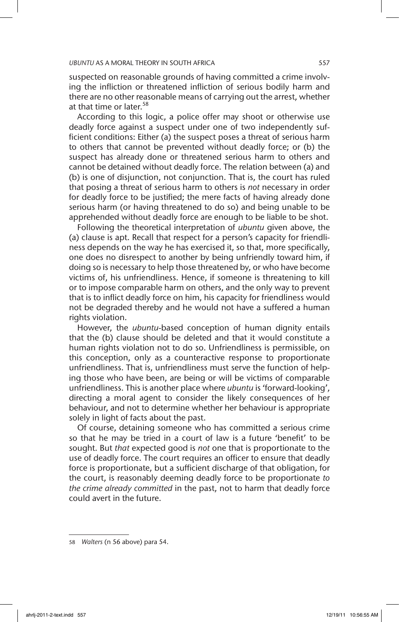suspected on reasonable grounds of having committed a crime involving the infliction or threatened infliction of serious bodily harm and there are no other reasonable means of carrying out the arrest, whether at that time or later.<sup>58</sup>

According to this logic, a police offer may shoot or otherwise use deadly force against a suspect under one of two independently sufficient conditions: Either (a) the suspect poses a threat of serious harm to others that cannot be prevented without deadly force; or (b) the suspect has already done or threatened serious harm to others and cannot be detained without deadly force. The relation between (a) and (b) is one of disjunction, not conjunction. That is, the court has ruled that posing a threat of serious harm to others is *not* necessary in order for deadly force to be justified; the mere facts of having already done serious harm (or having threatened to do so) and being unable to be apprehended without deadly force are enough to be liable to be shot.

Following the theoretical interpretation of *ubuntu* given above, the (a) clause is apt. Recall that respect for a person's capacity for friendliness depends on the way he has exercised it, so that, more specifically, one does no disrespect to another by being unfriendly toward him, if doing so is necessary to help those threatened by, or who have become victims of, his unfriendliness. Hence, if someone is threatening to kill or to impose comparable harm on others, and the only way to prevent that is to inflict deadly force on him, his capacity for friendliness would not be degraded thereby and he would not have a suffered a human rights violation.

However, the *ubuntu*-based conception of human dignity entails that the (b) clause should be deleted and that it would constitute a human rights violation not to do so. Unfriendliness is permissible, on this conception, only as a counteractive response to proportionate unfriendliness. That is, unfriendliness must serve the function of helping those who have been, are being or will be victims of comparable unfriendliness. This is another place where *ubuntu* is 'forward-looking', directing a moral agent to consider the likely consequences of her behaviour, and not to determine whether her behaviour is appropriate solely in light of facts about the past.

Of course, detaining someone who has committed a serious crime so that he may be tried in a court of law is a future 'benefit' to be sought. But *that* expected good is *not* one that is proportionate to the use of deadly force. The court requires an officer to ensure that deadly force is proportionate, but a sufficient discharge of that obligation, for the court, is reasonably deeming deadly force to be proportionate *to the crime already committed* in the past, not to harm that deadly force could avert in the future.

<sup>58</sup> *Walters* (n 56 above) para 54.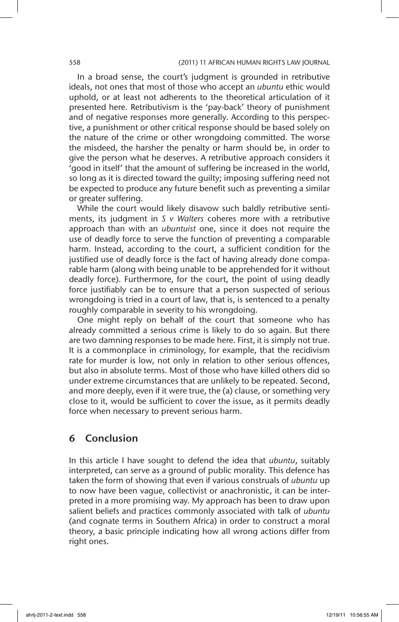#### 558 (2011) 11 AFRICAN HUMAN RIGHTS LAW JOURNAL

In a broad sense, the court's judgment is grounded in retributive ideals, not ones that most of those who accept an *ubuntu* ethic would uphold, or at least not adherents to the theoretical articulation of it presented here. Retributivism is the 'pay-back' theory of punishment and of negative responses more generally. According to this perspective, a punishment or other critical response should be based solely on the nature of the crime or other wrongdoing committed. The worse the misdeed, the harsher the penalty or harm should be, in order to give the person what he deserves. A retributive approach considers it 'good in itself' that the amount of suffering be increased in the world, so long as it is directed toward the guilty; imposing suffering need not be expected to produce any future benefit such as preventing a similar or greater suffering.

While the court would likely disavow such baldly retributive sentiments, its judgment in *S v Walters* coheres more with a retributive approach than with an *ubuntuist* one, since it does not require the use of deadly force to serve the function of preventing a comparable harm. Instead, according to the court, a sufficient condition for the justified use of deadly force is the fact of having already done comparable harm (along with being unable to be apprehended for it without deadly force). Furthermore, for the court, the point of using deadly force justifiably can be to ensure that a person suspected of serious wrongdoing is tried in a court of law, that is, is sentenced to a penalty roughly comparable in severity to his wrongdoing.

One might reply on behalf of the court that someone who has already committed a serious crime is likely to do so again. But there are two damning responses to be made here. First, it is simply not true. It is a commonplace in criminology, for example, that the recidivism rate for murder is low, not only in relation to other serious offences, but also in absolute terms. Most of those who have killed others did so under extreme circumstances that are unlikely to be repeated. Second, and more deeply, even if it were true, the (a) clause, or something very close to it, would be sufficient to cover the issue, as it permits deadly force when necessary to prevent serious harm.

## 6 Conclusion

In this article I have sought to defend the idea that *ubuntu*, suitably interpreted, can serve as a ground of public morality. This defence has taken the form of showing that even if various construals of *ubuntu* up to now have been vague, collectivist or anachronistic, it can be interpreted in a more promising way. My approach has been to draw upon salient beliefs and practices commonly associated with talk of *ubuntu* (and cognate terms in Southern Africa) in order to construct a moral theory, a basic principle indicating how all wrong actions differ from right ones.